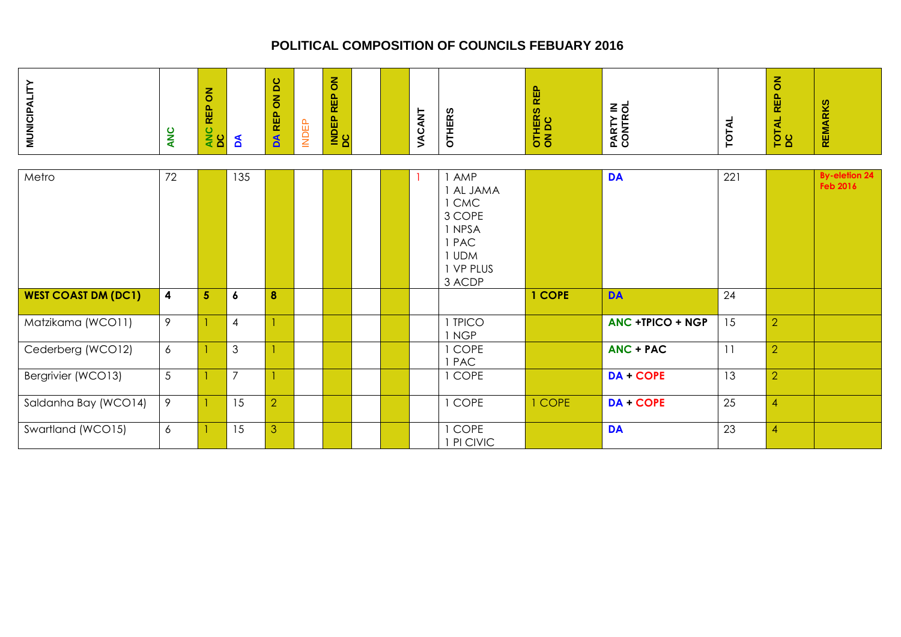| <b>MUNICIPALITY</b>        | <b>ANC</b> | $\overline{6}$<br>REP<br>ANC<br>DC | ð                | <b>DC</b><br>$\overline{6}$<br>REP<br>$\mathbf{A}$ | <b>INDEP</b> | $\overline{6}$<br>岛<br>$\alpha$<br><b>INDEP</b> |  | VACANT | <b>OTHERS</b>                                                                            | <b>REP</b><br>OTHERS<br>ON DC | PARTY IN<br>CONTROL     | <b>TOTAL</b> | <b>TOTAL REP ON<br/>DC</b> | <b>REMARKS</b>                          |
|----------------------------|------------|------------------------------------|------------------|----------------------------------------------------|--------------|-------------------------------------------------|--|--------|------------------------------------------------------------------------------------------|-------------------------------|-------------------------|--------------|----------------------------|-----------------------------------------|
| Metro                      | 72         |                                    | 135              |                                                    |              |                                                 |  |        | 1 AMP<br>1 AL JAMA<br>1 CMC<br>3 COPE<br>1 NPSA<br>1 PAC<br>1 UDM<br>1 VP PLUS<br>3 ACDP |                               | <b>DA</b>               | 221          |                            | <b>By-eletion 24</b><br><b>Feb 2016</b> |
| <b>WEST COAST DM (DC1)</b> | 4          | 5                                  | $\boldsymbol{6}$ | 8                                                  |              |                                                 |  |        |                                                                                          | 1 COPE                        | <b>DA</b>               | 24           |                            |                                         |
| Matzikama (WCO11)          | 9          |                                    | $\overline{4}$   |                                                    |              |                                                 |  |        | 1 TPICO<br>1 NGP                                                                         |                               | <b>ANC +TPICO + NGP</b> | 15           | $\overline{2}$             |                                         |
| Cederberg (WCO12)          | 6          |                                    | $\mathfrak{S}$   |                                                    |              |                                                 |  |        | 1 COPE<br>1 PAC                                                                          |                               | $ANC + PAC$             | 11           | $\overline{2}$             |                                         |
| Bergrivier (WCO13)         | 5          |                                    | $\overline{7}$   |                                                    |              |                                                 |  |        | 1 COPE                                                                                   |                               | DA + COPE               | 13           | $\overline{2}$             |                                         |
| Saldanha Bay (WCO14)       | 9          | 1                                  | 15               | $\overline{2}$                                     |              |                                                 |  |        | 1 COPE                                                                                   | 1 COPE                        | DA + COPE               | 25           | $\overline{4}$             |                                         |
| Swartland (WCO15)          | 6          |                                    | 15               | $\mathfrak{S}$                                     |              |                                                 |  |        | 1 COPE<br>1 PI CIVIC                                                                     |                               | <b>DA</b>               | 23           | $\overline{4}$             |                                         |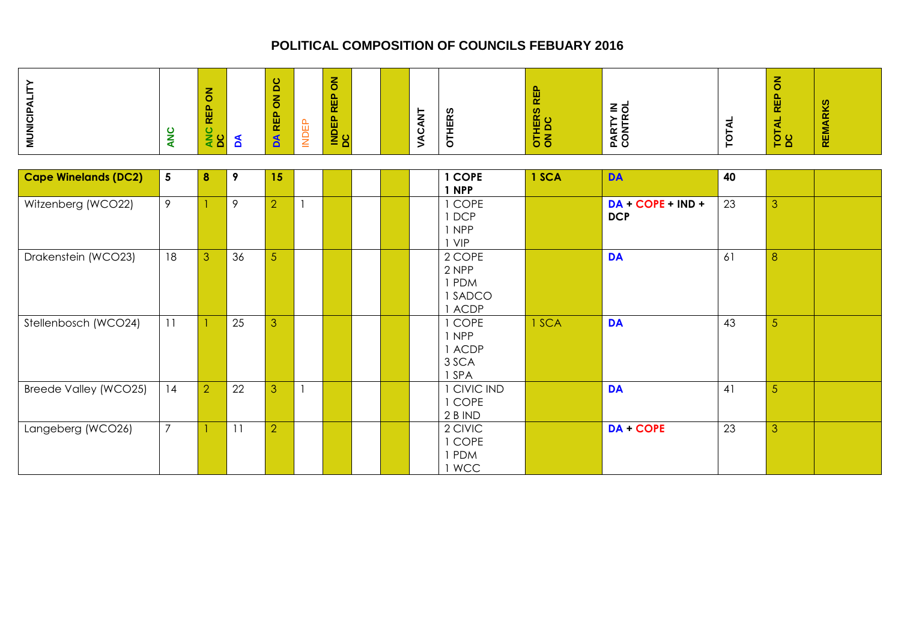| <b>MUNICIPALITY</b>         | ANC             | $\overline{6}$<br>REP<br>ANC<br>DC | $\mathbf{A}$ | $\overline{c}$<br>$\overline{6}$<br><b>DA REP</b> | <b>INDEP</b> | $\overline{6}$<br>REP<br>INDEP |  | VACANT | <b>OTHERS</b>                                 | <b>REP</b><br>OTHERS | PARTY IN<br>CONTROL               | <b>TOTAL</b> | $\overline{6}$<br><b>REP</b><br>TOTAL I<br>DC | <b>REMARKS</b> |
|-----------------------------|-----------------|------------------------------------|--------------|---------------------------------------------------|--------------|--------------------------------|--|--------|-----------------------------------------------|----------------------|-----------------------------------|--------------|-----------------------------------------------|----------------|
| <b>Cape Winelands (DC2)</b> | $5\phantom{.0}$ |                                    |              | 15                                                |              |                                |  |        | 1 COPE                                        | 1 SCA                | <b>DA</b>                         | 40           |                                               |                |
|                             |                 | 8                                  | 9            |                                                   |              |                                |  |        | 1 NPP                                         |                      |                                   |              |                                               |                |
| Witzenberg (WCO22)          | 9               |                                    | 9            | $\overline{2}$                                    |              |                                |  |        | 1 COPE<br>1 DCP<br>1 NPP<br>I VIP             |                      | $DA + COPE + IND +$<br><b>DCP</b> | 23           | 3                                             |                |
| Drakenstein (WCO23)         | 18              | 3                                  | 36           | 5                                                 |              |                                |  |        | 2 COPE<br>2 NPP<br>1 PDM<br>1 SADCO<br>I ACDP |                      | <b>DA</b>                         | 61           | 8                                             |                |
| Stellenbosch (WCO24)        | 11              |                                    | 25           | 3                                                 |              |                                |  |        | 1 COPE<br>1 NPP<br>1 ACDP<br>3 SCA<br>1 SPA   | 1 SCA                | <b>DA</b>                         | 43           | 5                                             |                |
| Breede Valley (WCO25)       | 14              | $\overline{2}$                     | 22           | 3                                                 |              |                                |  |        | 1 CIVIC IND<br>1 COPE<br>2 B IND              |                      | <b>DA</b>                         | 41           | 5                                             |                |
| Langeberg (WCO26)           | $\overline{7}$  |                                    | 11           | $\overline{2}$                                    |              |                                |  |        | 2 CIVIC<br>1 COPE<br>I PDM<br>1 WCC           |                      | <b>DA+COPE</b>                    | 23           | 3                                             |                |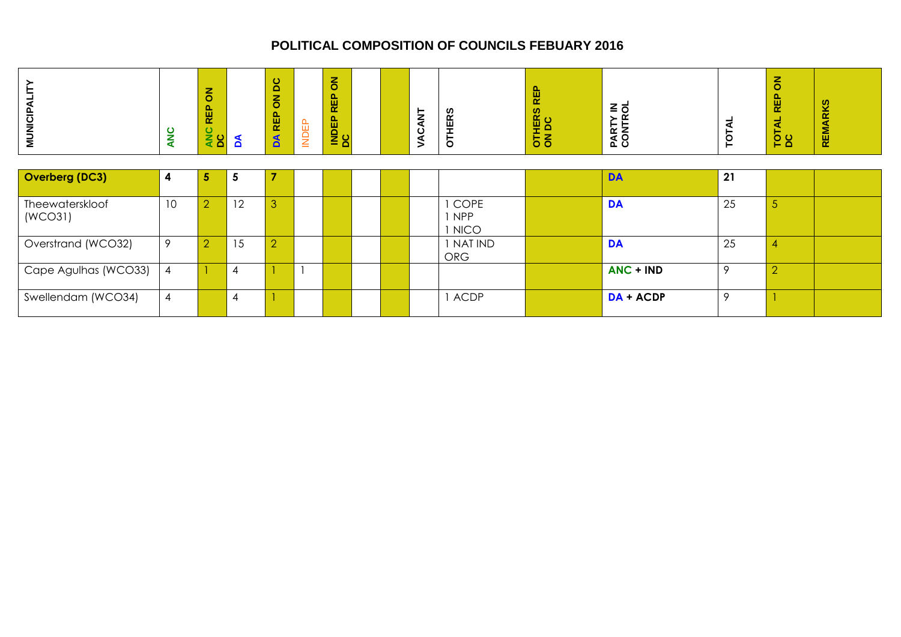| <b>MUNICIPALIT</b>         | <b>ANC</b>     | $\overline{6}$<br><b>REP</b><br>ANC<br>DC | ð              | DC<br>$\overline{6}$<br>REP<br>$\mathbf{A}$ | <b>INDEP</b> | $\overline{6}$<br>REP<br><b>INDEP</b> |  | VACANT | <b>OTHERS</b>                            | REP<br>OTHERS<br>ON DC | PARTY IN<br>CONTROL | ₹<br>TOT | $\overline{6}$<br>REP<br>TOTAL<br>DC | <b>REMARKS</b> |
|----------------------------|----------------|-------------------------------------------|----------------|---------------------------------------------|--------------|---------------------------------------|--|--------|------------------------------------------|------------------------|---------------------|----------|--------------------------------------|----------------|
| Overberg (DC3)             | 4              | 5                                         | 5              | ⇁                                           |              |                                       |  |        |                                          |                        | <b>DA</b>           | 21       |                                      |                |
| Theewaterskloof<br>(WCO31) | 10             | $\overline{2}$                            | 12             | 3                                           |              |                                       |  |        | <b>COPE</b><br><b>NPP</b><br><b>NICO</b> |                        | <b>DA</b>           | 25       | $\overline{5}$                       |                |
| Overstrand (WCO32)         | 9              | $\overline{2}$                            | 15             | $\overline{2}$                              |              |                                       |  |        | I NATIND<br><b>ORG</b>                   |                        | <b>DA</b>           | 25       | 4                                    |                |
| Cape Agulhas (WCO33)       | $\overline{4}$ |                                           | $\overline{4}$ |                                             |              |                                       |  |        |                                          |                        | ANC + IND           | 9        | $\overline{2}$                       |                |
| Swellendam (WCO34)         | $\overline{4}$ |                                           | $\overline{4}$ |                                             |              |                                       |  |        | <b>ACDP</b>                              |                        | $DA + ACDP$         | 9        |                                      |                |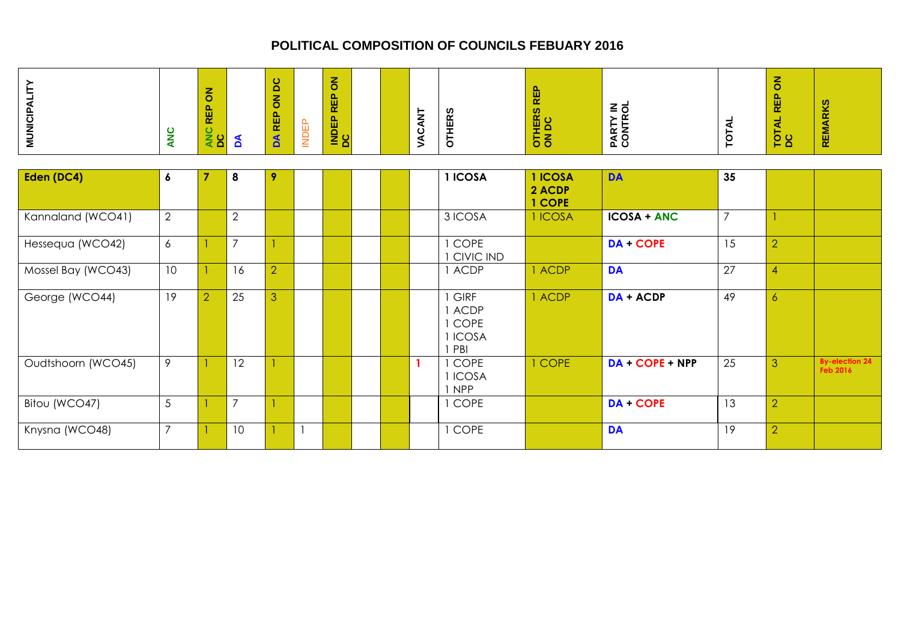| <b>MUNICIPALITY</b> | ANC             | $\overline{6}$<br><b>REP</b><br>ANC<br>DC | $\mathbf{A}$   | <b>ON DC</b><br>DA REP | <b>INDEP</b> | $\overline{6}$<br><b>REP</b><br><b>INDEP</b> |  | VACANT       | <b>OTHERS</b>                                     | <b>REP</b><br>OTHERS<br>ON DC | PARTY IN<br>CONTROL   | <b>TOTAL</b>   | $\overline{6}$<br>TOTAL REP (<br>DC | <b>REMARKS</b>                    |
|---------------------|-----------------|-------------------------------------------|----------------|------------------------|--------------|----------------------------------------------|--|--------------|---------------------------------------------------|-------------------------------|-----------------------|----------------|-------------------------------------|-----------------------------------|
| Eden (DC4)          | 6               | $\overline{7}$                            | 8              | 9                      |              |                                              |  |              | 1 ICOSA                                           | 1 ICOSA<br>2 ACDP<br>1 COPE   | <b>DA</b>             | 35             |                                     |                                   |
| Kannaland (WCO41)   | $\overline{2}$  |                                           | $\overline{2}$ |                        |              |                                              |  |              | 3 ICOSA                                           | 1 ICOSA                       | <b>ICOSA + ANC</b>    | $\overline{7}$ |                                     |                                   |
| Hessequa (WCO42)    | 6               |                                           | $\overline{7}$ |                        |              |                                              |  |              | I COPE<br><b>CIVIC IND</b>                        |                               | DA + COPE             | 15             | $\overline{2}$                      |                                   |
| Mossel Bay (WCO43)  | 10 <sup>°</sup> | $\mathbf{1}$                              | 16             | $\overline{2}$         |              |                                              |  |              | 1 ACDP                                            | 1 ACDP                        | <b>DA</b>             | 27             | $\overline{4}$                      |                                   |
| George (WCO44)      | 19              | $\overline{2}$                            | 25             | 3                      |              |                                              |  |              | <b>GIRF</b><br>1 ACDP<br>1 COPE<br>1 ICOSA<br>PBI | 1 ACDP                        | DA + ACDP             | 49             | $\overline{6}$                      |                                   |
| Oudtshoorn (WCO45)  | 9               | 1                                         | 12             |                        |              |                                              |  | $\mathbf{1}$ | 1 COPE<br>1 ICOSA<br>1 NPP                        | 1 COPE                        | $DA$ + $COPE$ + $NPP$ | 25             | 3                                   | <b>By-election 24</b><br>Feb 2016 |
| Bitou (WCO47)       | $\overline{5}$  | 1                                         | $\overline{7}$ |                        |              |                                              |  |              | 1 COPE                                            |                               | DA + COPE             | 13             | $\overline{2}$                      |                                   |
| Knysna (WCO48)      | $\overline{7}$  |                                           | 10             |                        |              |                                              |  |              | 1 COPE                                            |                               | <b>DA</b>             | 19             | $\overline{2}$                      |                                   |